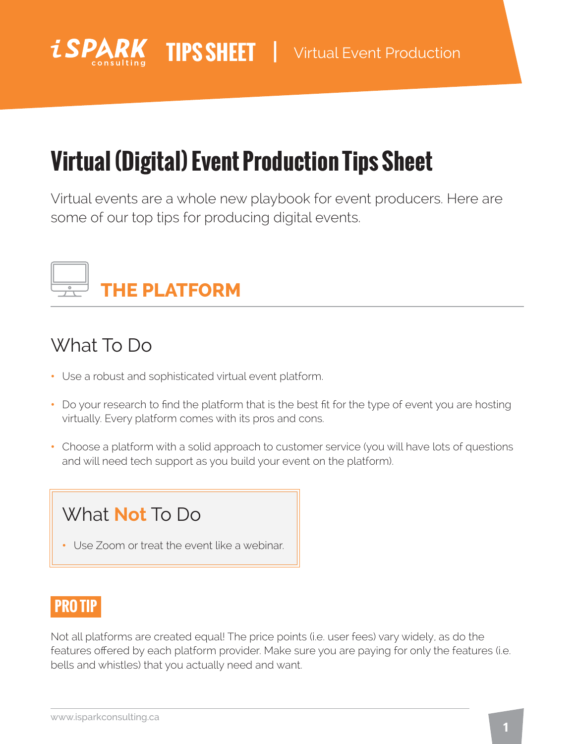

# **Virtual (Digital) Event Production Tips Sheet**

Virtual events are a whole new playbook for event producers. Here are some of our top tips for producing digital events.



## What To Do

- Use a robust and sophisticated virtual event platform.
- Do your research to find the platform that is the best fit for the type of event you are hosting virtually. Every platform comes with its pros and cons.
- Choose a platform with a solid approach to customer service (you will have lots of questions and will need tech support as you build your event on the platform).

## What **Not** To Do

• Use Zoom or treat the event like a webinar.

### **PRO TIP**

Not all platforms are created equal! The price points (i.e. user fees) vary widely, as do the features offered by each platform provider. Make sure you are paying for only the features (i.e. bells and whistles) that you actually need and want.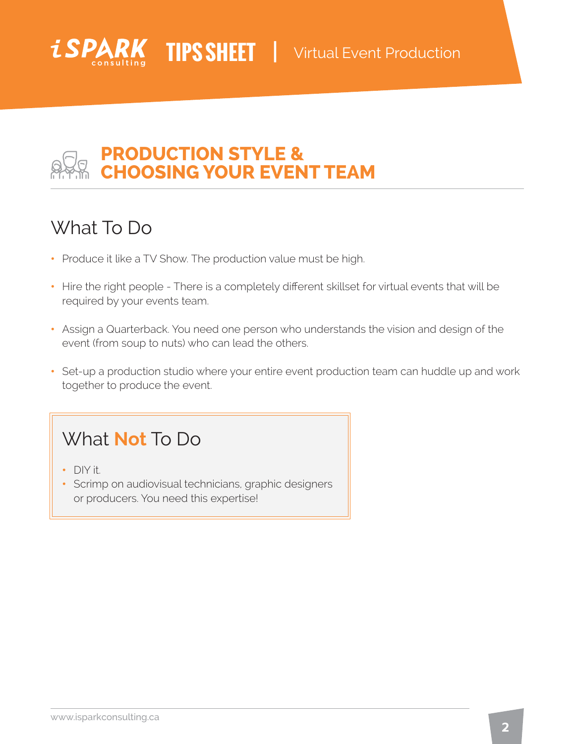

### **PRODUCTION STYLE & CHOOSING YOUR EVENT TEAM**

## What To Do

*iSPI* 

- Produce it like a TV Show. The production value must be high.
- Hire the right people There is a completely different skillset for virtual events that will be required by your events team.
- Assign a Quarterback. You need one person who understands the vision and design of the event (from soup to nuts) who can lead the others.
- Set-up a production studio where your entire event production team can huddle up and work together to produce the event.

## What **Not** To Do

- DIY it.
- Scrimp on audiovisual technicians, graphic designers or producers. You need this expertise!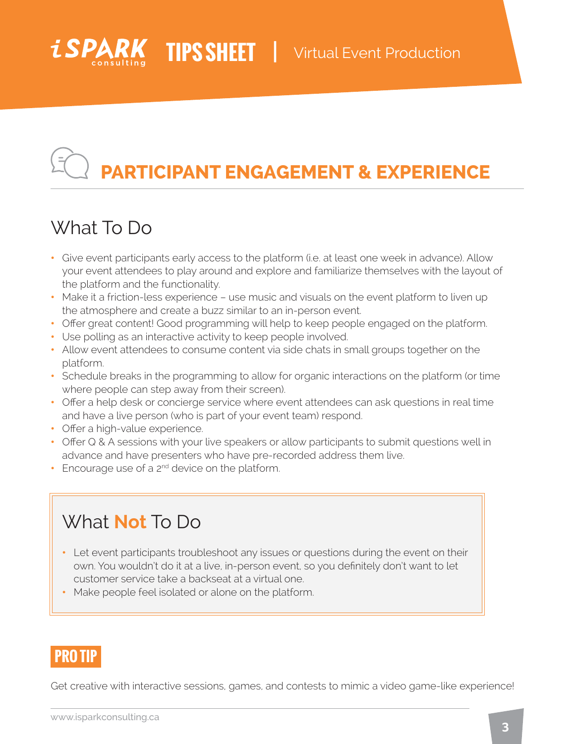

# **PARTICIPANT ENGAGEMENT & EXPERIENCE**

### What To Do

- Give event participants early access to the platform (i.e. at least one week in advance). Allow your event attendees to play around and explore and familiarize themselves with the layout of the platform and the functionality.
- Make it a friction-less experience use music and visuals on the event platform to liven up the atmosphere and create a buzz similar to an in-person event.
- Offer great content! Good programming will help to keep people engaged on the platform.
- Use polling as an interactive activity to keep people involved.
- Allow event attendees to consume content via side chats in small groups together on the platform.
- Schedule breaks in the programming to allow for organic interactions on the platform (or time where people can step away from their screen).
- Offer a help desk or concierge service where event attendees can ask questions in real time and have a live person (who is part of your event team) respond.
- Offer a high-value experience.
- Offer Q & A sessions with your live speakers or allow participants to submit questions well in advance and have presenters who have pre-recorded address them live.
- Encourage use of a 2<sup>nd</sup> device on the platform.

### What **Not** To Do

- Let event participants troubleshoot any issues or questions during the event on their own. You wouldn't do it at a live, in-person event, so you definitely don't want to let customer service take a backseat at a virtual one.
- Make people feel isolated or alone on the platform.

### **PRO TIP**

Get creative with interactive sessions, games, and contests to mimic a video game-like experience!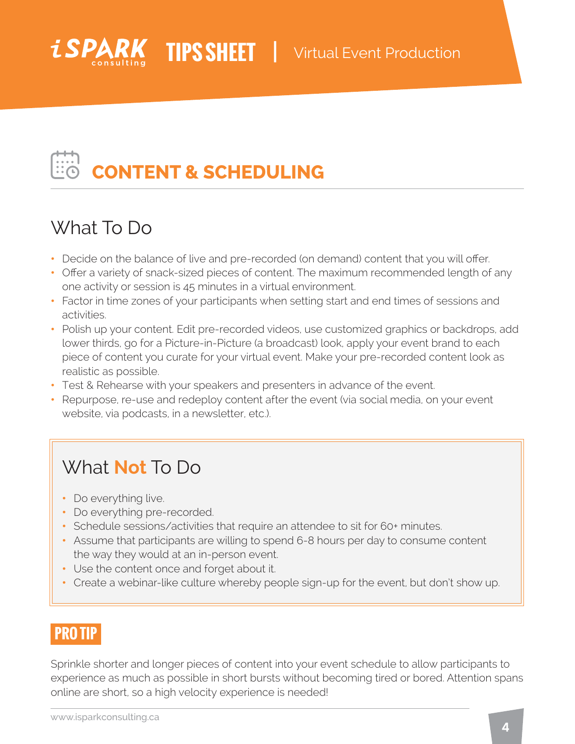

# **CONTENT & SCHEDULING**

## What To Do

- Decide on the balance of live and pre-recorded (on demand) content that you will offer.
- Offer a variety of snack-sized pieces of content. The maximum recommended length of any one activity or session is 45 minutes in a virtual environment.
- Factor in time zones of your participants when setting start and end times of sessions and activities.
- Polish up your content. Edit pre-recorded videos, use customized graphics or backdrops, add lower thirds, go for a Picture-in-Picture (a broadcast) look, apply your event brand to each piece of content you curate for your virtual event. Make your pre-recorded content look as realistic as possible.
- Test & Rehearse with your speakers and presenters in advance of the event.
- Repurpose, re-use and redeploy content after the event (via social media, on your event website, via podcasts, in a newsletter, etc.).

## What **Not** To Do

- Do everything live.
- Do everything pre-recorded.
- Schedule sessions/activities that require an attendee to sit for 60+ minutes.
- Assume that participants are willing to spend 6-8 hours per day to consume content the way they would at an in-person event.
- Use the content once and forget about it.
- Create a webinar-like culture whereby people sign-up for the event, but don't show up.

### **PRO TIP**

Sprinkle shorter and longer pieces of content into your event schedule to allow participants to experience as much as possible in short bursts without becoming tired or bored. Attention spans online are short, so a high velocity experience is needed!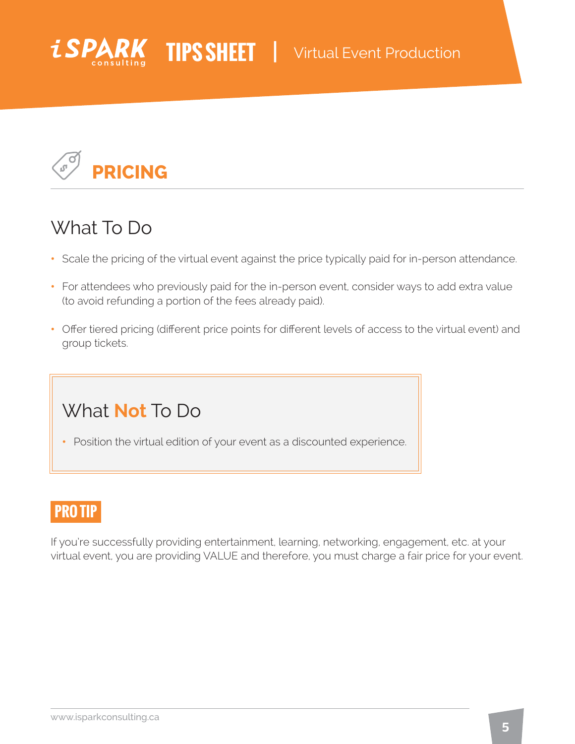



### What To Do

- Scale the pricing of the virtual event against the price typically paid for in-person attendance.
- For attendees who previously paid for the in-person event, consider ways to add extra value (to avoid refunding a portion of the fees already paid).
- Offer tiered pricing (different price points for different levels of access to the virtual event) and group tickets.

### What **Not** To Do

• Position the virtual edition of your event as a discounted experience.

### **PRO TIP**

If you're successfully providing entertainment, learning, networking, engagement, etc. at your virtual event, you are providing VALUE and therefore, you must charge a fair price for your event.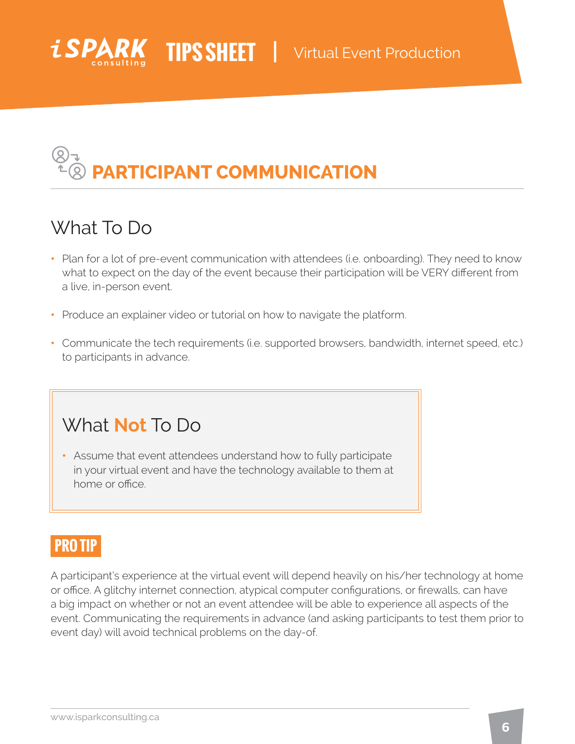

# **PARTICIPANT COMMUNICATION**

## What To Do

- Plan for a lot of pre-event communication with attendees (i.e. onboarding). They need to know what to expect on the day of the event because their participation will be VERY different from a live, in-person event.
- Produce an explainer video or tutorial on how to navigate the platform.
- Communicate the tech requirements (i.e. supported browsers, bandwidth, internet speed, etc.) to participants in advance.

### What **Not** To Do

• Assume that event attendees understand how to fully participate in your virtual event and have the technology available to them at home or office.

### **PRO TIP**

A participant's experience at the virtual event will depend heavily on his/her technology at home or office. A glitchy internet connection, atypical computer configurations, or firewalls, can have a big impact on whether or not an event attendee will be able to experience all aspects of the event. Communicating the requirements in advance (and asking participants to test them prior to event day) will avoid technical problems on the day-of.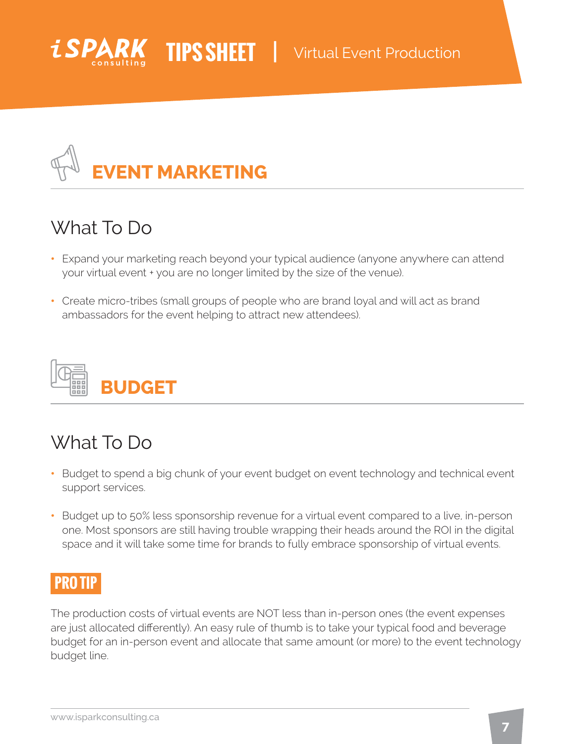



## What To Do

- Expand your marketing reach beyond your typical audience (anyone anywhere can attend your virtual event + you are no longer limited by the size of the venue).
- Create micro-tribes (small groups of people who are brand loyal and will act as brand ambassadors for the event helping to attract new attendees).



## What To Do

- Budget to spend a big chunk of your event budget on event technology and technical event support services.
- Budget up to 50% less sponsorship revenue for a virtual event compared to a live, in-person one. Most sponsors are still having trouble wrapping their heads around the ROI in the digital space and it will take some time for brands to fully embrace sponsorship of virtual events.

### **PRO TIP**

The production costs of virtual events are NOT less than in-person ones (the event expenses are just allocated differently). An easy rule of thumb is to take your typical food and beverage budget for an in-person event and allocate that same amount (or more) to the event technology budget line.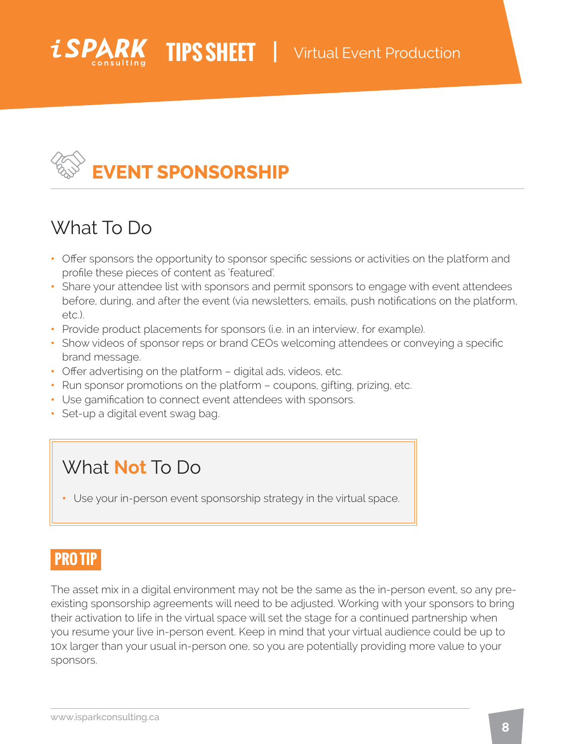

# **EVENT SPONSORSHIP**

### What To Do

- Offer sponsors the opportunity to sponsor specific sessions or activities on the platform and profile these pieces of content as 'featured'.
- Share your attendee list with sponsors and permit sponsors to engage with event attendees before, during, and after the event (via newsletters, emails, push notifications on the platform, etc.).
- Provide product placements for sponsors (i.e. in an interview, for example).
- Show videos of sponsor reps or brand CEOs welcoming attendees or conveying a specific brand message.
- Offer advertising on the platform digital ads, videos, etc.
- Run sponsor promotions on the platform coupons, gifting, prizing, etc.
- Use gamification to connect event attendees with sponsors.
- Set-up a digital event swag bag.

### What **Not** To Do

• Use your in-person event sponsorship strategy in the virtual space.

### **PRO TIP**

The asset mix in a digital environment may not be the same as the in-person event, so any preexisting sponsorship agreements will need to be adjusted. Working with your sponsors to bring their activation to life in the virtual space will set the stage for a continued partnership when you resume your live in-person event. Keep in mind that your virtual audience could be up to 10x larger than your usual in-person one, so you are potentially providing more value to your sponsors.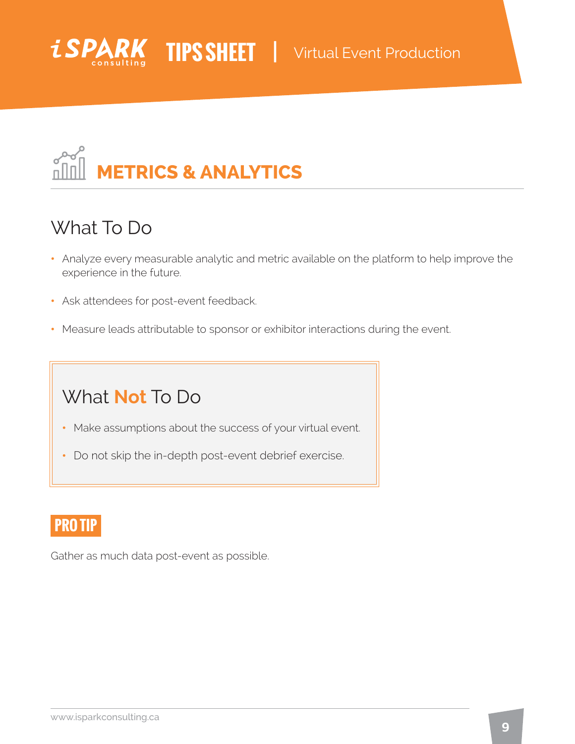



### What To Do

- Analyze every measurable analytic and metric available on the platform to help improve the experience in the future.
- Ask attendees for post-event feedback.
- Measure leads attributable to sponsor or exhibitor interactions during the event.

### What **Not** To Do

- Make assumptions about the success of your virtual event.
- Do not skip the in-depth post-event debrief exercise.

#### **PRO TIP**

Gather as much data post-event as possible.